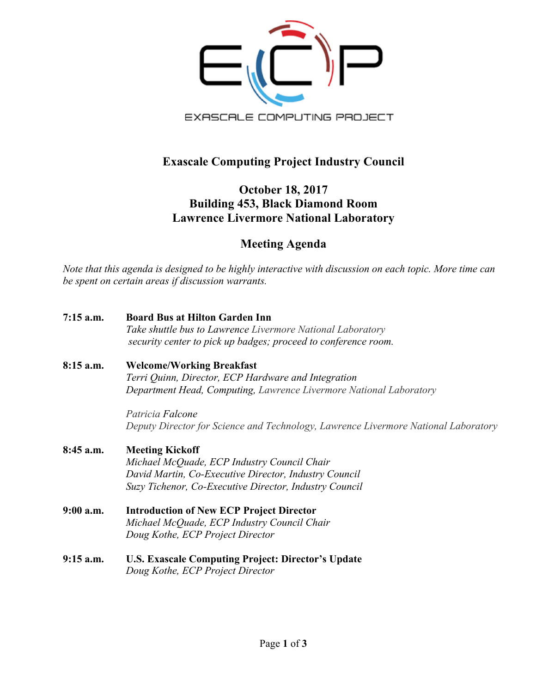

## **Exascale Computing Project Industry Council**

## **October 18, 2017 Building 453, Black Diamond Room Lawrence Livermore National Laboratory**

## **Meeting Agenda**

*Note that this agenda is designed to be highly interactive with discussion on each topic. More time can be spent on certain areas if discussion warrants.* 

- **7:15 a.m. Board Bus at Hilton Garden Inn**  *Take shuttle bus to Lawrence Livermore National Laboratory security center to pick up badges; proceed to conference room.* **8:15 a.m. Welcome/Working Breakfast** *Terri Quinn, Director, ECP Hardware and Integration Department Head, Computing, Lawrence Livermore National Laboratory Patricia Falcone Deputy Director for Science and Technology, Lawrence Livermore National Laboratory* **8:45 a.m. Meeting Kickoff** *Michael McQuade, ECP Industry Council Chair David Martin, Co-Executive Director, Industry Council Suzy Tichenor, Co-Executive Director, Industry Council* **9:00 a.m. Introduction of New ECP Project Director**
- *Michael McQuade, ECP Industry Council Chair Doug Kothe, ECP Project Director*
- **9:15 a.m. U.S. Exascale Computing Project: Director's Update** *Doug Kothe, ECP Project Director*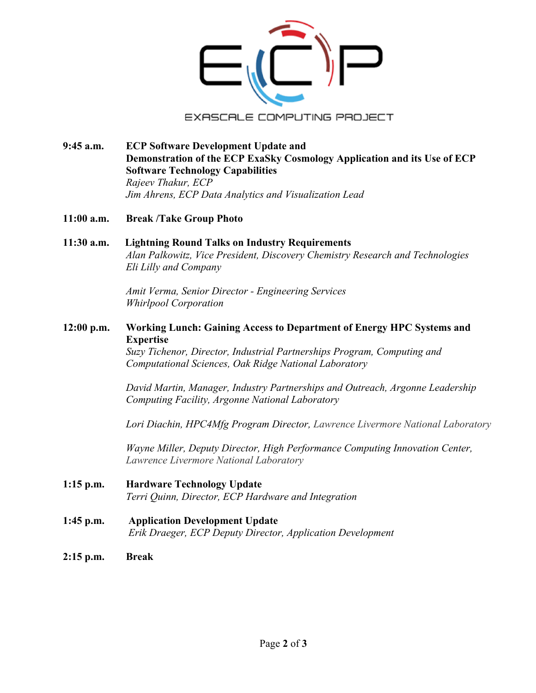

- **9:45 a.m. ECP Software Development Update and Demonstration of the ECP ExaSky Cosmology Application and its Use of ECP Software Technology Capabilities** *Rajeev Thakur, ECP Jim Ahrens, ECP Data Analytics and Visualization Lead*
- **11:00 a.m. Break /Take Group Photo**
- **11:30 a.m. Lightning Round Talks on Industry Requirements** *Alan Palkowitz, Vice President, Discovery Chemistry Research and Technologies Eli Lilly and Company*

*Amit Verma, Senior Director - Engineering Services Whirlpool Corporation*

**12:00 p.m. Working Lunch: Gaining Access to Department of Energy HPC Systems and Expertise**

> *Suzy Tichenor, Director, Industrial Partnerships Program, Computing and Computational Sciences, Oak Ridge National Laboratory*

*David Martin, Manager, Industry Partnerships and Outreach, Argonne Leadership Computing Facility, Argonne National Laboratory*

*Lori Diachin, HPC4Mfg Program Director, Lawrence Livermore National Laboratory*

*Wayne Miller, Deputy Director, High Performance Computing Innovation Center, Lawrence Livermore National Laboratory*

- **1:15 p.m. Hardware Technology Update** *Terri Quinn, Director, ECP Hardware and Integration*
- **1:45 p.m. Application Development Update** *Erik Draeger, ECP Deputy Director, Application Development*
- **2:15 p.m. Break**